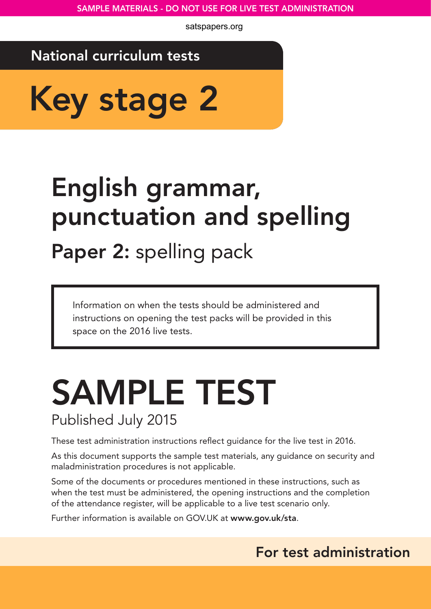## National curriculum tests

Key stage 2

# English grammar, punctuation and spelling

Paper 2: spelling pack

Information on when the tests should be administered and instructions on opening the test packs will be provided in this space on the 2016 live tests.

## SAMPLE TEST Published July 2015

These test administration instructions reflect guidance for the live test in 2016.

As this document supports the sample test materials, any guidance on security and maladministration procedures is not applicable.

Some of the documents or procedures mentioned in these instructions, such as when the test must be administered, the opening instructions and the completion of the attendance register, will be applicable to a live test scenario only.

Further information is available on GOV.UK at www.gov.uk/sta.

## For test administration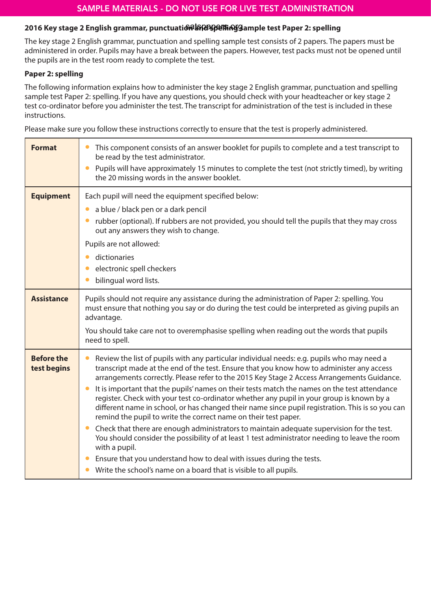#### 2016 Key stage 2 English grammar, punctuati<del>ଭିର୍ଷନ୍ତି) (ମଣ୍ଡିସିଆର</del>୍ଶ୍ୱ Sample test Paper 2: spelling

The key stage 2 English grammar, punctuation and spelling sample test consists of 2 papers. The papers must be administered in order. Pupils may have a break between the papers. However, test packs must not be opened until the pupils are in the test room ready to complete the test.

#### **Paper 2: spelling**

The following information explains how to administer the key stage 2 English grammar, punctuation and spelling sample test Paper 2: spelling. If you have any questions, you should check with your headteacher or key stage 2 test co-ordinator before you administer the test. The transcript for administration of the test is included in these instructions.

Please make sure you follow these instructions correctly to ensure that the test is properly administered.

| <b>Format</b>                    | This component consists of an answer booklet for pupils to complete and a test transcript to<br>be read by the test administrator.<br>Pupils will have approximately 15 minutes to complete the test (not strictly timed), by writing<br>$\bullet$<br>the 20 missing words in the answer booklet.                                                                                                                                                                                                                                                                                                                                                                                                                                                                                                                                                                                                                                                                                                                                   |
|----------------------------------|-------------------------------------------------------------------------------------------------------------------------------------------------------------------------------------------------------------------------------------------------------------------------------------------------------------------------------------------------------------------------------------------------------------------------------------------------------------------------------------------------------------------------------------------------------------------------------------------------------------------------------------------------------------------------------------------------------------------------------------------------------------------------------------------------------------------------------------------------------------------------------------------------------------------------------------------------------------------------------------------------------------------------------------|
| <b>Equipment</b>                 | Each pupil will need the equipment specified below:<br>a blue / black pen or a dark pencil<br>rubber (optional). If rubbers are not provided, you should tell the pupils that they may cross<br>out any answers they wish to change.<br>Pupils are not allowed:<br>dictionaries<br>electronic spell checkers<br>bilingual word lists.                                                                                                                                                                                                                                                                                                                                                                                                                                                                                                                                                                                                                                                                                               |
| <b>Assistance</b>                | Pupils should not require any assistance during the administration of Paper 2: spelling. You<br>must ensure that nothing you say or do during the test could be interpreted as giving pupils an<br>advantage.<br>You should take care not to overemphasise spelling when reading out the words that pupils<br>need to spell.                                                                                                                                                                                                                                                                                                                                                                                                                                                                                                                                                                                                                                                                                                        |
| <b>Before the</b><br>test begins | Review the list of pupils with any particular individual needs: e.g. pupils who may need a<br>transcript made at the end of the test. Ensure that you know how to administer any access<br>arrangements correctly. Please refer to the 2015 Key Stage 2 Access Arrangements Guidance.<br>It is important that the pupils' names on their tests match the names on the test attendance<br>register. Check with your test co-ordinator whether any pupil in your group is known by a<br>different name in school, or has changed their name since pupil registration. This is so you can<br>remind the pupil to write the correct name on their test paper.<br>Check that there are enough administrators to maintain adequate supervision for the test.<br>$\bullet$<br>You should consider the possibility of at least 1 test administrator needing to leave the room<br>with a pupil.<br>Ensure that you understand how to deal with issues during the tests.<br>Write the school's name on a board that is visible to all pupils. |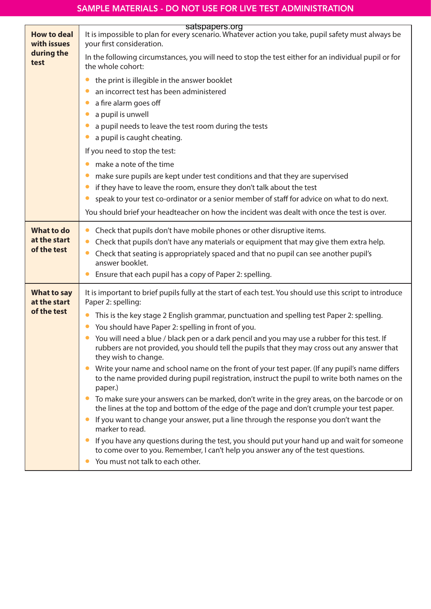|                                                   | satspapers.org                                                                                                                                                                                                                                                             |
|---------------------------------------------------|----------------------------------------------------------------------------------------------------------------------------------------------------------------------------------------------------------------------------------------------------------------------------|
| <b>How to deal</b><br>with issues                 | It is impossible to plan for every scenario. Whatever action you take, pupil safety must always be<br>your first consideration.                                                                                                                                            |
| during the<br>test                                | In the following circumstances, you will need to stop the test either for an individual pupil or for<br>the whole cohort:                                                                                                                                                  |
|                                                   | the print is illegible in the answer booklet                                                                                                                                                                                                                               |
|                                                   | an incorrect test has been administered                                                                                                                                                                                                                                    |
|                                                   | a fire alarm goes off                                                                                                                                                                                                                                                      |
|                                                   | a pupil is unwell                                                                                                                                                                                                                                                          |
|                                                   | a pupil needs to leave the test room during the tests                                                                                                                                                                                                                      |
|                                                   | a pupil is caught cheating.                                                                                                                                                                                                                                                |
|                                                   | If you need to stop the test:                                                                                                                                                                                                                                              |
|                                                   | make a note of the time                                                                                                                                                                                                                                                    |
|                                                   | make sure pupils are kept under test conditions and that they are supervised                                                                                                                                                                                               |
|                                                   | if they have to leave the room, ensure they don't talk about the test                                                                                                                                                                                                      |
|                                                   | speak to your test co-ordinator or a senior member of staff for advice on what to do next.                                                                                                                                                                                 |
|                                                   | You should brief your headteacher on how the incident was dealt with once the test is over.                                                                                                                                                                                |
| <b>What to do</b><br>at the start<br>of the test  | Check that pupils don't have mobile phones or other disruptive items.<br>Check that pupils don't have any materials or equipment that may give them extra help.<br>Check that seating is appropriately spaced and that no pupil can see another pupil's<br>answer booklet. |
|                                                   | Ensure that each pupil has a copy of Paper 2: spelling.                                                                                                                                                                                                                    |
| <b>What to say</b><br>at the start<br>of the test | It is important to brief pupils fully at the start of each test. You should use this script to introduce<br>Paper 2: spelling:                                                                                                                                             |
|                                                   | This is the key stage 2 English grammar, punctuation and spelling test Paper 2: spelling.<br>You should have Paper 2: spelling in front of you.                                                                                                                            |
|                                                   | • You will need a blue / black pen or a dark pencil and you may use a rubber for this test. If<br>rubbers are not provided, you should tell the pupils that they may cross out any answer that<br>they wish to change.                                                     |
|                                                   | Write your name and school name on the front of your test paper. (If any pupil's name differs<br>to the name provided during pupil registration, instruct the pupil to write both names on the<br>paper.)                                                                  |
|                                                   | To make sure your answers can be marked, don't write in the grey areas, on the barcode or on<br>the lines at the top and bottom of the edge of the page and don't crumple your test paper.                                                                                 |
|                                                   | If you want to change your answer, put a line through the response you don't want the<br>marker to read.                                                                                                                                                                   |
|                                                   | If you have any questions during the test, you should put your hand up and wait for someone<br>to come over to you. Remember, I can't help you answer any of the test questions.<br>You must not talk to each other.                                                       |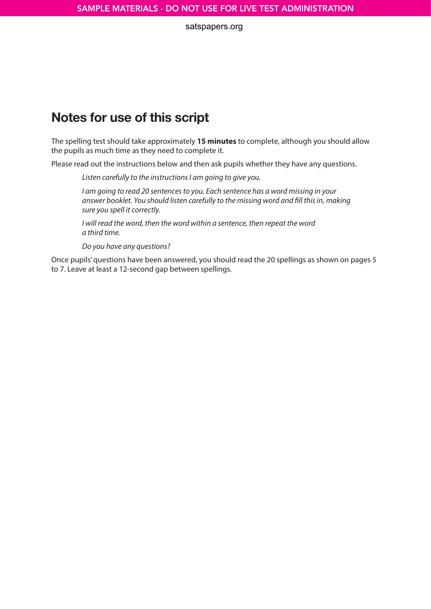## Notes for use of this script

The spelling test should take approximately **15 minutes** to complete, although you should allow the pupils as much time as they need to complete it.

Please read out the instructions below and then ask pupils whether they have any questions.

*Listen carefully to the instructions I am going to give you.*

*I am going to read 20 sentences to you. Each sentence has a word missing in your answer booklet. You should listen carefully to the missing word and fill this in, making sure you spell it correctly.* 

*I will read the word, then the word within a sentence, then repeat the word a third time.*

*Do you have any questions?* 

Once pupils' questions have been answered, you should read the 20 spellings as shown on pages 5 to 7. Leave at least a 12-second gap between spellings.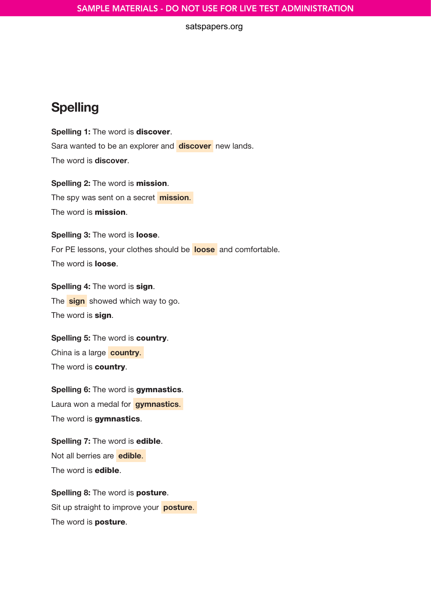## Spelling

Spelling 1: The word is discover. Sara wanted to be an explorer and **discover** new lands. The word is discover.

Spelling 2: The word is mission. The spy was sent on a secret **mission**. The word is **mission**.

Spelling 3: The word is loose. For PE lessons, your clothes should be **loose** and comfortable. The word is **loose**.

Spelling 4: The word is sign. The **sign** showed which way to go. The word is **sign**.

Spelling 5: The word is country. China is a large country. The word is **country**.

Spelling 6: The word is gymnastics. Laura won a medal for **gymnastics**. The word is **gymnastics**.

Spelling 7: The word is edible. Not all berries are **edible**. The word is **edible**.

Spelling 8: The word is posture. Sit up straight to improve your posture. The word is **posture**.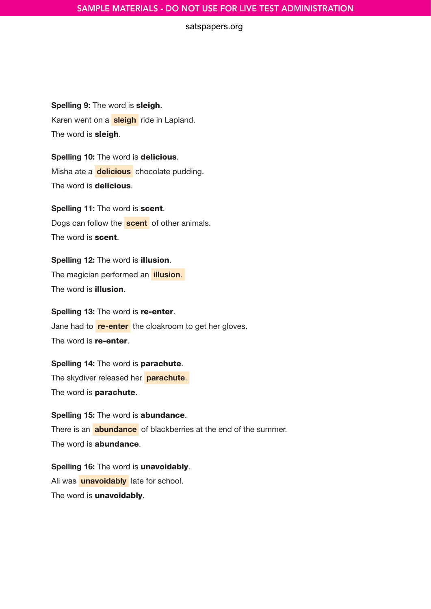#### SAMPLE MATERIALS - DO NOT USE FOR LIVE TEST ADMINISTRATION

#### satspapers.org

Spelling 9: The word is sleigh. Karen went on a sleigh ride in Lapland. The word is **sleigh**.

Spelling 10: The word is delicious. Misha ate a **delicious** chocolate pudding. The word is **delicious**.

Spelling 11: The word is scent. Dogs can follow the **scent** of other animals. The word is **scent**.

Spelling 12: The word is illusion. The magician performed an **illusion**. The word is illusion.

Spelling 13: The word is re-enter. Jane had to re-enter the cloakroom to get her gloves. The word is **re-enter**.

Spelling 14: The word is parachute. The skydiver released her parachute. The word is **parachute**.

Spelling 15: The word is abundance. There is an **abundance** of blackberries at the end of the summer. The word is **abundance**.

Spelling 16: The word is unavoidably. Ali was **unavoidably** late for school. The word is **unavoidably**.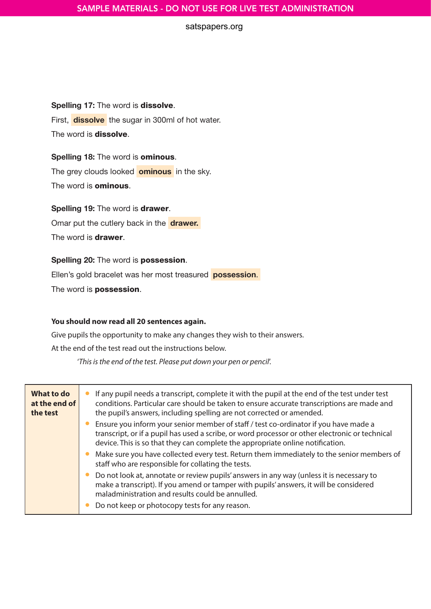#### Spelling 17: The word is dissolve.

First, **dissolve** the sugar in 300ml of hot water. The word is **dissolve**.

#### Spelling 18: The word is ominous.

The grey clouds looked **ominous** in the sky.

The word is **ominous**.

#### Spelling 19: The word is drawer.

Omar put the cutlery back in the drawer.

The word is **drawer**.

## Spelling 20: The word is possession.

Ellen's gold bracelet was her most treasured **possession.** 

The word is **possession**.

#### **You should now read all 20 sentences again.**

Give pupils the opportunity to make any changes they wish to their answers.

At the end of the test read out the instructions below.

'*This is the end of the test. Please put down your pen or pencil*'.

| What to do<br>at the end of<br>the test | If any pupil needs a transcript, complete it with the pupil at the end of the test under test<br>conditions. Particular care should be taken to ensure accurate transcriptions are made and<br>the pupil's answers, including spelling are not corrected or amended.                     |
|-----------------------------------------|------------------------------------------------------------------------------------------------------------------------------------------------------------------------------------------------------------------------------------------------------------------------------------------|
|                                         | Ensure you inform your senior member of staff / test co-ordinator if you have made a<br>transcript, or if a pupil has used a scribe, or word processor or other electronic or technical<br>device. This is so that they can complete the appropriate online notification.                |
|                                         | Make sure you have collected every test. Return them immediately to the senior members of<br>staff who are responsible for collating the tests.                                                                                                                                          |
|                                         | Do not look at, annotate or review pupils' answers in any way (unless it is necessary to<br>make a transcript). If you amend or tamper with pupils' answers, it will be considered<br>maladministration and results could be annulled.<br>Do not keep or photocopy tests for any reason. |